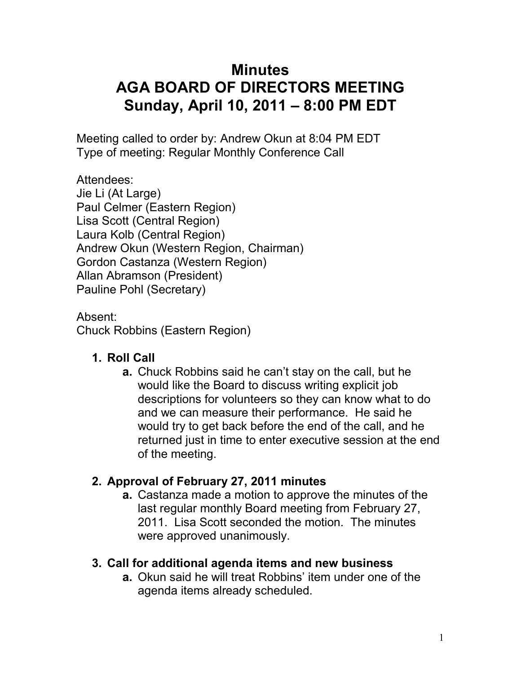# **Minutes AGA BOARD OF DIRECTORS MEETING Sunday, April 10, 2011 – 8:00 PM EDT**

Meeting called to order by: Andrew Okun at 8:04 PM EDT Type of meeting: Regular Monthly Conference Call

Attendees: Jie Li (At Large) Paul Celmer (Eastern Region) Lisa Scott (Central Region) Laura Kolb (Central Region) Andrew Okun (Western Region, Chairman) Gordon Castanza (Western Region) Allan Abramson (President) Pauline Pohl (Secretary)

Absent: Chuck Robbins (Eastern Region)

#### **1. Roll Call**

**a.** Chuck Robbins said he can't stay on the call, but he would like the Board to discuss writing explicit job descriptions for volunteers so they can know what to do and we can measure their performance. He said he would try to get back before the end of the call, and he returned just in time to enter executive session at the end of the meeting.

# **2. Approval of February 27, 2011 minutes**

**a.** Castanza made a motion to approve the minutes of the last regular monthly Board meeting from February 27, 2011. Lisa Scott seconded the motion. The minutes were approved unanimously.

#### **3. Call for additional agenda items and new business**

**a.** Okun said he will treat Robbins' item under one of the agenda items already scheduled.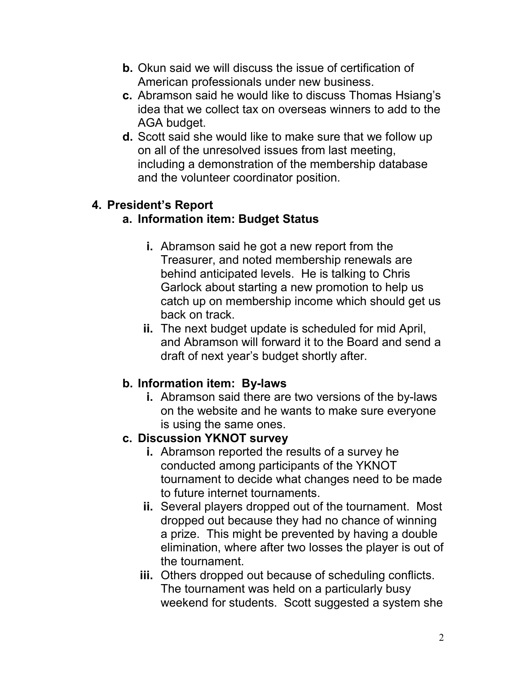- **b.** Okun said we will discuss the issue of certification of American professionals under new business.
- **c.** Abramson said he would like to discuss Thomas Hsiang's idea that we collect tax on overseas winners to add to the AGA budget.
- **d.** Scott said she would like to make sure that we follow up on all of the unresolved issues from last meeting, including a demonstration of the membership database and the volunteer coordinator position.

# **4. President's Report**

## **a. Information item: Budget Status**

- **i.** Abramson said he got a new report from the Treasurer, and noted membership renewals are behind anticipated levels. He is talking to Chris Garlock about starting a new promotion to help us catch up on membership income which should get us back on track.
- **ii.** The next budget update is scheduled for mid April, and Abramson will forward it to the Board and send a draft of next year's budget shortly after.

#### **b. Information item: By-laws**

**i.** Abramson said there are two versions of the by-laws on the website and he wants to make sure everyone is using the same ones.

#### **c. Discussion YKNOT survey**

- **i.** Abramson reported the results of a survey he conducted among participants of the YKNOT tournament to decide what changes need to be made to future internet tournaments.
- **ii.** Several players dropped out of the tournament. Most dropped out because they had no chance of winning a prize. This might be prevented by having a double elimination, where after two losses the player is out of the tournament.
- **iii.** Others dropped out because of scheduling conflicts. The tournament was held on a particularly busy weekend for students. Scott suggested a system she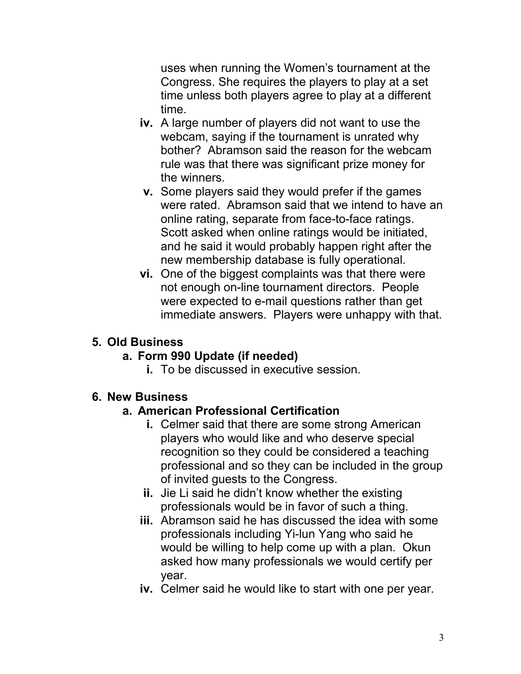uses when running the Women's tournament at the Congress. She requires the players to play at a set time unless both players agree to play at a different time.

- **iv.** A large number of players did not want to use the webcam, saying if the tournament is unrated why bother? Abramson said the reason for the webcam rule was that there was significant prize money for the winners.
- **v.** Some players said they would prefer if the games were rated. Abramson said that we intend to have an online rating, separate from face-to-face ratings. Scott asked when online ratings would be initiated, and he said it would probably happen right after the new membership database is fully operational.
- **vi.** One of the biggest complaints was that there were not enough on-line tournament directors. People were expected to e-mail questions rather than get immediate answers. Players were unhappy with that.

#### **5. Old Business**

#### **a. Form 990 Update (if needed)**

**i.** To be discussed in executive session.

#### **6. New Business**

#### **a. American Professional Certification**

- **i.** Celmer said that there are some strong American players who would like and who deserve special recognition so they could be considered a teaching professional and so they can be included in the group of invited guests to the Congress.
- **ii.** Jie Li said he didn't know whether the existing professionals would be in favor of such a thing.
- **iii.** Abramson said he has discussed the idea with some professionals including Yi-lun Yang who said he would be willing to help come up with a plan. Okun asked how many professionals we would certify per year.
- **iv.** Celmer said he would like to start with one per year.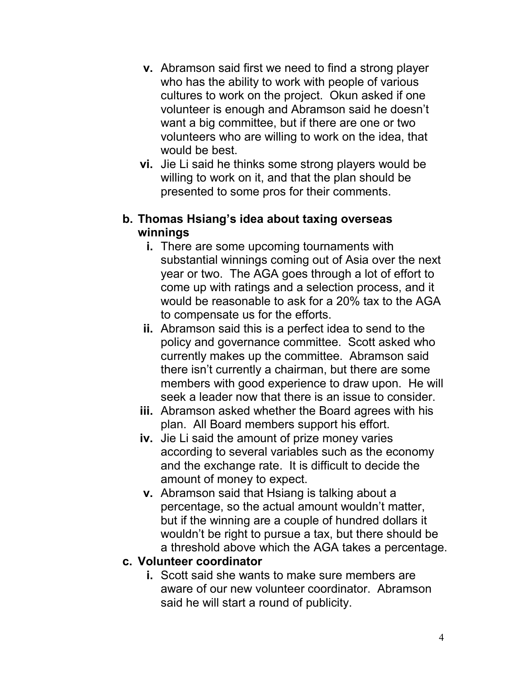- **v.** Abramson said first we need to find a strong player who has the ability to work with people of various cultures to work on the project. Okun asked if one volunteer is enough and Abramson said he doesn't want a big committee, but if there are one or two volunteers who are willing to work on the idea, that would be best.
- **vi.** Jie Li said he thinks some strong players would be willing to work on it, and that the plan should be presented to some pros for their comments.

#### **b. Thomas Hsiang's idea about taxing overseas winnings**

- **i.** There are some upcoming tournaments with substantial winnings coming out of Asia over the next year or two. The AGA goes through a lot of effort to come up with ratings and a selection process, and it would be reasonable to ask for a 20% tax to the AGA to compensate us for the efforts.
- **ii.** Abramson said this is a perfect idea to send to the policy and governance committee. Scott asked who currently makes up the committee. Abramson said there isn't currently a chairman, but there are some members with good experience to draw upon. He will seek a leader now that there is an issue to consider.
- **iii.** Abramson asked whether the Board agrees with his plan. All Board members support his effort.
- **iv.** Jie Li said the amount of prize money varies according to several variables such as the economy and the exchange rate. It is difficult to decide the amount of money to expect.
- **v.** Abramson said that Hsiang is talking about a percentage, so the actual amount wouldn't matter, but if the winning are a couple of hundred dollars it wouldn't be right to pursue a tax, but there should be a threshold above which the AGA takes a percentage.

#### **c. Volunteer coordinator**

**i.** Scott said she wants to make sure members are aware of our new volunteer coordinator. Abramson said he will start a round of publicity.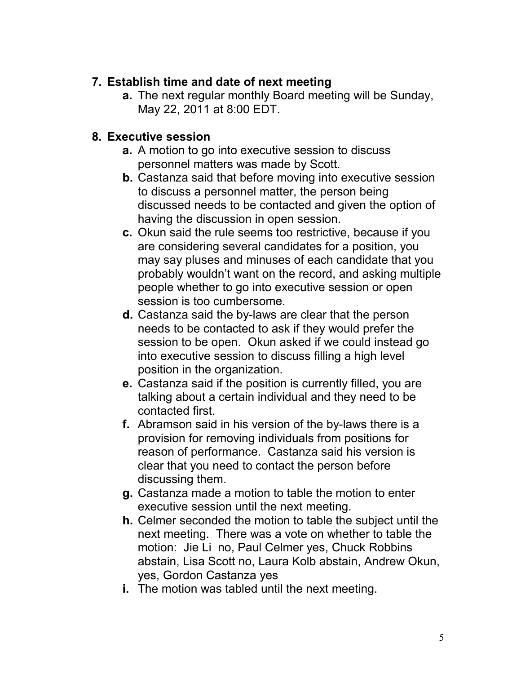#### **7. Establish time and date of next meeting**

**a.** The next regular monthly Board meeting will be Sunday, May 22, 2011 at 8:00 EDT.

## **8. Executive session**

- **a.** A motion to go into executive session to discuss personnel matters was made by Scott.
- **b.** Castanza said that before moving into executive session to discuss a personnel matter, the person being discussed needs to be contacted and given the option of having the discussion in open session.
- **c.** Okun said the rule seems too restrictive, because if you are considering several candidates for a position, you may say pluses and minuses of each candidate that you probably wouldn't want on the record, and asking multiple people whether to go into executive session or open session is too cumbersome.
- **d.** Castanza said the by-laws are clear that the person needs to be contacted to ask if they would prefer the session to be open. Okun asked if we could instead go into executive session to discuss filling a high level position in the organization.
- **e.** Castanza said if the position is currently filled, you are talking about a certain individual and they need to be contacted first.
- **f.** Abramson said in his version of the by-laws there is a provision for removing individuals from positions for reason of performance. Castanza said his version is clear that you need to contact the person before discussing them.
- **g.** Castanza made a motion to table the motion to enter executive session until the next meeting.
- **h.** Celmer seconded the motion to table the subject until the next meeting. There was a vote on whether to table the motion: Jie Li no, Paul Celmer yes, Chuck Robbins abstain, Lisa Scott no, Laura Kolb abstain, Andrew Okun, yes, Gordon Castanza yes
- **i.** The motion was tabled until the next meeting.